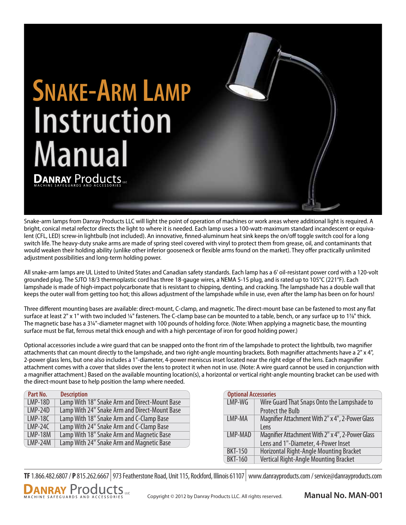# **SNAKE-ARM LAMP Instruction Manual**

Snake-arm lamps from Danray Products LLC will light the point of operation of machines or work areas where additional light is required. A bright, conical metal refector directs the light to where it is needed. Each lamp uses a 100-watt-maximum standard incandescent or equivalent (CFL, LED) screw-in lightbulb (not included). An innovative, finned-aluminum heat sink keeps the on/off toggle switch cool for a long switch life. The heavy-duty snake arms are made of spring steel covered with vinyl to protect them from grease, oil, and contaminants that would weaken their holding ability (unlike other inferior gooseneck or flexible arms found on the market). They offer practically unlimited adjustment possibilities and long-term holding power.

All snake-arm lamps are UL Listed to United States and Canadian safety standards. Each lamp has a 6' oil-resistant power cord with a 120-volt grounded plug. The SJTO 18/3 thermoplastic cord has three 18-gauge wires, a NEMA 5-15 plug, and is rated up to 105°C (221°F). Each lampshade is made of high-impact polycarbonate that is resistant to chipping, denting, and cracking. The lampshade has a double wall that keeps the outer wall from getting too hot; this allows adjustment of the lampshade while in use, even after the lamp has been on for hours!

Three different mounting bases are available: direct-mount, C-clamp, and magnetic. The direct-mount base can be fastened to most any flat surface at least 2" x 1" with two included ¼" fasteners. The C-clamp base can be mounted to a table, bench, or any surface up to 1%" thick. The magnetic base has a 3¼"-diameter magnet with 100 pounds of holding force. (Note: When applying a magnetic base, the mounting surface must be flat, ferrous metal thick enough and with a high percentage of iron for good holding power.)

Optional accessories include a wire guard that can be snapped onto the front rim of the lampshade to protect the lightbulb, two magnifier attachments that can mount directly to the lampshade, and two right-angle mounting brackets. Both magnifier attachments have a 2" x 4", 2-power glass lens, but one also includes a 1"-diameter, 4-power meniscus inset located near the right edge of the lens. Each magnifier attachment comes with a cover that slides over the lens to protect it when not in use. (Note: A wire guard cannot be used in conjunction with a magnifier attachment.) Based on the available mounting location(s), a horizontal or vertical right-angle mounting bracket can be used with the direct-mount base to help position the lamp where needed.

| Part No.       | <b>Description</b>                            |
|----------------|-----------------------------------------------|
| <b>LMP-18D</b> | Lamp With 18" Snake Arm and Direct-Mount Base |
| $LMP-24D$      | Lamp With 24" Snake Arm and Direct-Mount Base |
| $LMP-18C$      | Lamp With 18" Snake Arm and C-Clamp Base      |
| $LMP-24C$      | Lamp With 24" Snake Arm and C-Clamp Base      |
| <b>LMP-18M</b> | Lamp With 18" Snake Arm and Magnetic Base     |
| $LMP-24M$      | Lamp With 24" Snake Arm and Magnetic Base     |

**DANRAY Products** 

| <b>Optional Accessories</b> |                                                  |
|-----------------------------|--------------------------------------------------|
| LMP-WG                      | Wire Guard That Snaps Onto the Lampshade to      |
|                             | <b>Protect the Bulb</b>                          |
| LMP-MA                      | Magnifier Attachment With 2" x 4", 2-Power Glass |
|                             | <b>l</b> ens                                     |
| LMP-MAD                     | Magnifier Attachment With 2" x 4", 2-Power Glass |
|                             | Lens and 1"-Diameter, 4-Power Inset              |
| <b>BKT-150</b>              | Horizontal Right-Angle Mounting Bracket          |
| <b>BKT-160</b>              | Vertical Right-Angle Mounting Bracket            |

**TF** 1.866.482.6807 / **P** 815.262.6667 973 Featherstone Road, Unit 115, Rockford, Illinois 61107 www.danrayproducts.com / service@danrayproducts.com